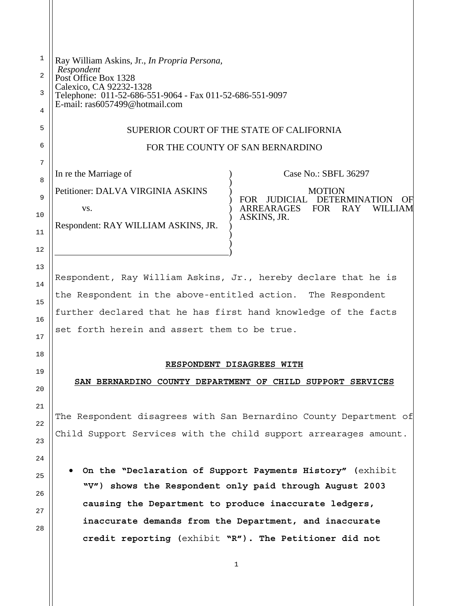| 1        | Ray William Askins, Jr., In Propria Persona,<br>Respondent                                 |      |
|----------|--------------------------------------------------------------------------------------------|------|
| 2        | Post Office Box 1328<br>Calexico, CA 92232-1328                                            |      |
| 3        | Telephone: 011-52-686-551-9064 - Fax 011-52-686-551-9097<br>E-mail: ras6057499@hotmail.com |      |
| 4        |                                                                                            |      |
| 5        | SUPERIOR COURT OF THE STATE OF CALIFORNIA                                                  |      |
| 6        | FOR THE COUNTY OF SAN BERNARDINO                                                           |      |
| 7        | In re the Marriage of<br>Case No.: SBFL 36297                                              |      |
| 8        | Petitioner: DALVA VIRGINIA ASKINS<br><b>MOTION</b>                                         |      |
| 9        | <b>FOR</b><br>JUDICIAL DETERMINATION<br>ARREARAGES FOR<br><b>RAY</b><br>WILLIAM<br>VS.     | ( )F |
| 10       | ASKINS, JR.<br>Respondent: RAY WILLIAM ASKINS, JR.                                         |      |
| 11<br>12 |                                                                                            |      |
|          |                                                                                            |      |
| 13<br>14 | Respondent, Ray William Askins, Jr., hereby declare that he is                             |      |
| 15       | the Respondent in the above-entitled action. The Respondent                                |      |
| 16       | further declared that he has first hand knowledge of the facts                             |      |
| 17       | set forth herein and assert them to be true.                                               |      |
| 18       |                                                                                            |      |
| 19       | RESPONDENT DISAGREES WITH                                                                  |      |
| 20       | SAN BERNARDINO COUNTY DEPARTMENT OF CHILD SUPPORT SERVICES                                 |      |
| 21       |                                                                                            |      |
| 22       | The Respondent disagrees with San Bernardino County Department of                          |      |
| 23       | Child Support Services with the child support arrearages amount.                           |      |
| 24       |                                                                                            |      |
|          | . On the "Declaration of Support Payments History" (exhibit                                |      |
| 25       | "V") shows the Respondent only paid through August 2003                                    |      |
| 26       | causing the Department to produce inaccurate ledgers,                                      |      |
| 27       | inaccurate demands from the Department, and inaccurate                                     |      |
| 28       | credit reporting (exhibit "R"). The Petitioner did not                                     |      |
|          |                                                                                            |      |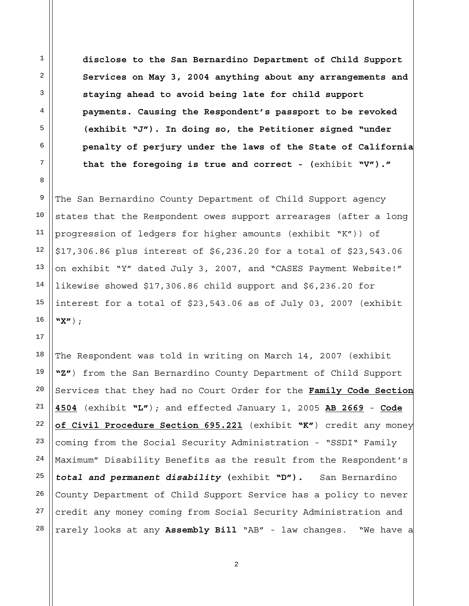**disclose to the San Bernardino Department of Child Support Services on May 3, 2004 anything about any arrangements and staying ahead to avoid being late for child support payments. Causing the Respondent's passport to be revoked (exhibit "J"). In doing so, the Petitioner signed "under penalty of perjury under the laws of the State of California that the foregoing is true and correct - (**exhibit **"V")."**

The San Bernardino County Department of Child Support agency states that the Respondent owes support arrearages (after a long progression of ledgers for higher amounts (exhibit "K")) of \$17,306.86 plus interest of \$6,236.20 for a total of \$23,543.06 on exhibit "Y" dated July 3, 2007, and "CASES Payment Website!" likewise showed \$17,306.86 child support and \$6,236.20 for interest for a total of \$23,543.06 as of July 03, 2007 (exhibit **"X"**);

The Respondent was told in writing on March 14, 2007 (exhibit **"Z"**) from the San Bernardino County Department of Child Support Services that they had no Court Order for the **Family Code Section 4504** (exhibit **"L"**); and effected January 1, 2005 **AB 2669** - **Code of Civil Procedure Section 695.221** (exhibit **"K"**) credit any money coming from the Social Security Administration - "SSDI" Family Maximum" Disability Benefits as the result from the Respondent's *total and permanent disability* **(**exhibit **"D")***.* San Bernardino County Department of Child Support Service has a policy to never credit any money coming from Social Security Administration and rarely looks at any **Assembly Bill** "AB" - law changes. "We have a

1

2

3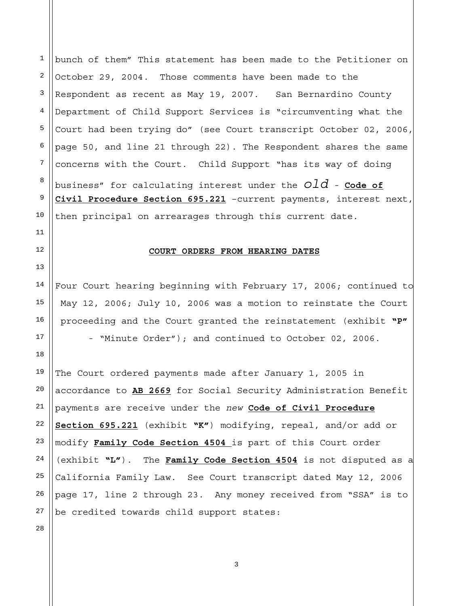1 2 3 4 5 6 7 8 9 10 bunch of them" This statement has been made to the Petitioner on October 29, 2004. Those comments have been made to the Respondent as recent as May 19, 2007. San Bernardino County Department of Child Support Services is "circumventing what the Court had been trying do" (see Court transcript October 02, 2006, page 50, and line 21 through 22). The Respondent shares the same concerns with the Court. Child Support "has its way of doing business" for calculating interest under the *old -* **Code of Civil Procedure Section 695.221** –current payments, interest next, then principal on arrearages through this current date.

#### **COURT ORDERS FROM HEARING DATES**

Four Court hearing beginning with February 17, 2006; continued to May 12, 2006; July 10, 2006 was a motion to reinstate the Court proceeding and the Court granted the reinstatement (exhibit **"P"** - "Minute Order"); and continued to October 02, 2006.

19 20 21 22 23 24 27 The Court ordered payments made after January 1, 2005 in accordance to **AB 2669** for Social Security Administration Benefit payments are receive under the *new* **Code of Civil Procedure Section 695.221** (exhibit **"K"**) modifying, repeal, and/or add or modify **Family Code Section 4504** is part of this Court order (exhibit **"L"**). The **Family Code Section 4504** is not disputed as a California Family Law. See Court transcript dated May 12, 2006 page 17, line 2 through 23. Any money received from "SSA" is to be credited towards child support states:

25 26

11

12

13

14

15

16

17

18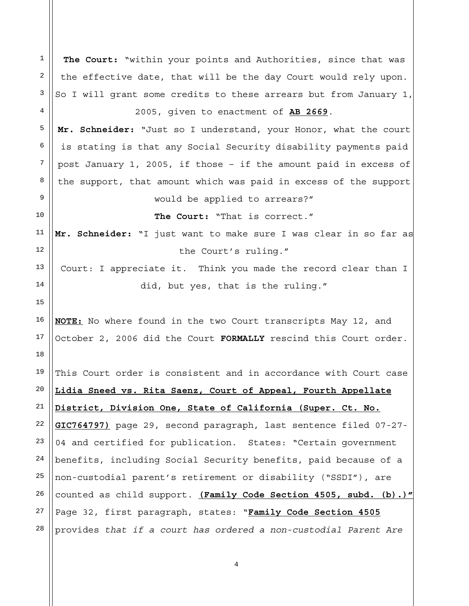1 2 3 4 5 6 7 8 9 10 11 12 13 14 15 16 17 18 19 20 21 22 23 24 25 26 27 28 **The Court:** "within your points and Authorities, since that was the effective date, that will be the day Court would rely upon. So I will grant some credits to these arrears but from January 1, 2005, given to enactment of **AB 2669**. **Mr. Schneider:** "Just so I understand, your Honor, what the court is stating is that any Social Security disability payments paid post January 1, 2005, if those – if the amount paid in excess of the support, that amount which was paid in excess of the support would be applied to arrears?" **The Court:** "That is correct." **Mr. Schneider:** "I just want to make sure I was clear in so far as the Court's ruling." Court: I appreciate it. Think you made the record clear than I did, but yes, that is the ruling." **NOTE:** No where found in the two Court transcripts May 12, and October 2, 2006 did the Court **FORMALLY** rescind this Court order. This Court order is consistent and in accordance with Court case **Lidia Sneed vs. Rita Saenz, Court of Appeal, Fourth Appellate District, Division One, State of California (Super. Ct. No. GIC764797)** page 29, second paragraph, last sentence filed 07-27- 04 and certified for publication. States: "Certain government benefits, including Social Security benefits, paid because of a non-custodial parent's retirement or disability ("SSDI"), are counted as child support. **(Family Code Section 4505, subd. (b).)"** Page 32, first paragraph, states: "**Family Code Section 4505** provides *that if a court has ordered a non-custodial Parent Are*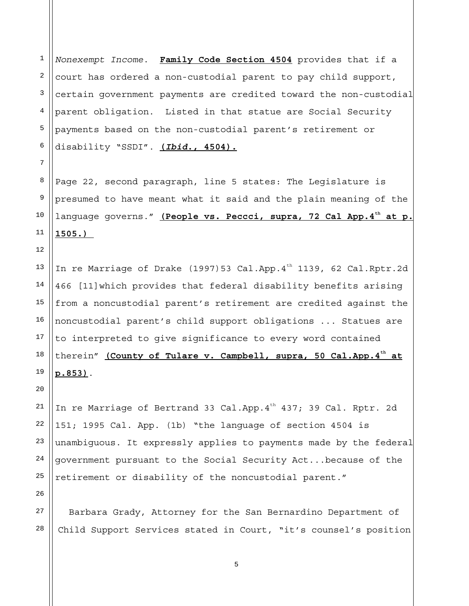1 2 3 4 5 6 *Nonexempt Income*. **Family Code Section 4504** provides that if a court has ordered a non-custodial parent to pay child support, certain government payments are credited toward the non-custodial parent obligation. Listed in that statue are Social Security payments based on the non-custodial parent's retirement or disability "SSDI". **(***Ibid***., 4504).**

Page 22, second paragraph, line 5 states: The Legislature is presumed to have meant what it said and the plain meaning of the language governs." (People vs. Peccci, supra, 72 Cal App.4<sup>th</sup> at p. **1505.)** 

13 In re Marriage of Drake (1997)53 Cal.App. $4^{th}$  1139, 62 Cal.Rptr.2d 466 [11]which provides that federal disability benefits arising from a noncustodial parent's retirement are credited against the noncustodial parent's child support obligations ... Statues are to interpreted to give significance to every word contained therein" (County of Tulare v. Campbell, supra, 50 Cal.App.4<sup>th</sup> at **p.853)**.

In re Marriage of Bertrand 33 Cal.App. 4<sup>th</sup> 437; 39 Cal. Rptr. 2d 151; 1995 Cal. App. (1b) "the language of section 4504 is unambiguous. It expressly applies to payments made by the federal government pursuant to the Social Security Act...because of the retirement or disability of the noncustodial parent."

Barbara Grady, Attorney for the San Bernardino Department of Child Support Services stated in Court, "it's counsel's position

5

7

8

9

10

11

12

14

15

16

17

18

19

20

21

22

23

24

25

26

27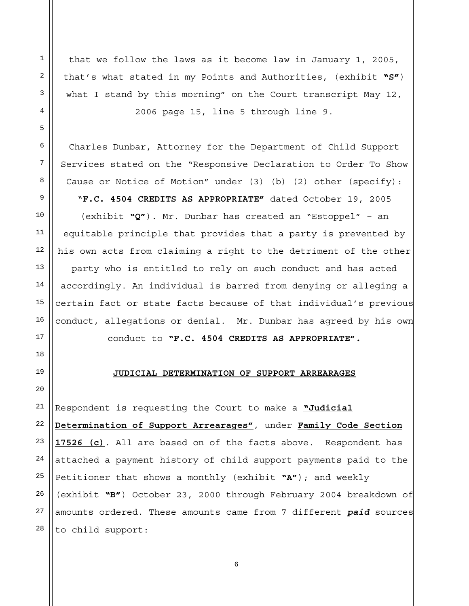that we follow the laws as it become law in January 1, 2005, that's what stated in my Points and Authorities, (exhibit **"S"**) what I stand by this morning" on the Court transcript May 12, 2006 page 15, line 5 through line 9.

Charles Dunbar, Attorney for the Department of Child Support Services stated on the "Responsive Declaration to Order To Show Cause or Notice of Motion" under (3) (b) (2) other (specify):

"**F.C. 4504 CREDITS AS APPROPRIATE"** dated October 19, 2005

(exhibit **"Q"**). Mr. Dunbar has created an "Estoppel" – an equitable principle that provides that a party is prevented by his own acts from claiming a right to the detriment of the other party who is entitled to rely on such conduct and has acted accordingly. An individual is barred from denying or alleging a certain fact or state facts because of that individual's previous conduct, allegations or denial. Mr. Dunbar has agreed by his own conduct to **"F.C. 4504 CREDITS AS APPROPRIATE".** 

## **JUDICIAL DETERMINATION OF SUPPORT ARREARAGES**

Respondent is requesting the Court to make a **"Judicial Determination of Support Arrearages"**, under **Family Code Section 17526 (c)**. All are based on of the facts above. Respondent has attached a payment history of child support payments paid to the Petitioner that shows a monthly (exhibit **"A"**); and weekly (exhibit **"B"**) October 23, 2000 through February 2004 breakdown of amounts ordered. These amounts came from 7 different *paid* sources to child support:

1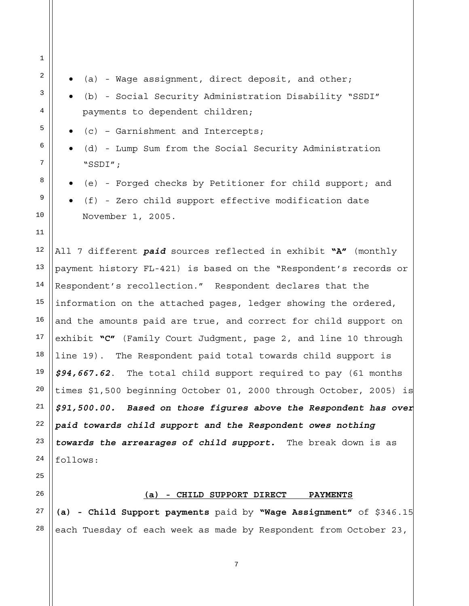1 4 7 11 12 13 14 15 16 17 18 19 20 21 22 23 24 25 26  $2 \parallel \bullet$  (a) - Wage assignment, direct deposit, and other;  $\left| \begin{array}{c} 3 \end{array} \right|$   $\bullet$  (b) - Social Security Administration Disability "SSDI" payments to dependent children;  $\begin{bmatrix} 5 \end{bmatrix}$   $\bullet$  (c) – Garnishment and Intercepts;  $6 \parallel \bullet$  (d) - Lump Sum from the Social Security Administration "SSDI";  $8 \parallel \bullet$  (e) - Forged checks by Petitioner for child support; and  $\mathbb{P}$  (f) - Zero child support effective modification date November 1, 2005. All 7 different *paid* sources reflected in exhibit **"A"** (monthly payment history FL-421) is based on the "Respondent's records or Respondent's recollection." Respondent declares that the information on the attached pages, ledger showing the ordered, and the amounts paid are true, and correct for child support on exhibit **"C"** (Family Court Judgment, page 2, and line 10 through line 19). The Respondent paid total towards child support is *\$94,667.62*. The total child support required to pay (61 months times \$1,500 beginning October 01, 2000 through October, 2005) is *\$91,500.00. Based on those figures above the Respondent has over paid towards child support and the Respondent owes nothing towards the arrearages of child support.* The break down is as follows:

10

27

**(a) - CHILD SUPPORT DIRECT PAYMENTS**

28 **(a) - Child Support payments** paid by **"Wage Assignment"** of \$346.15 each Tuesday of each week as made by Respondent from October 23,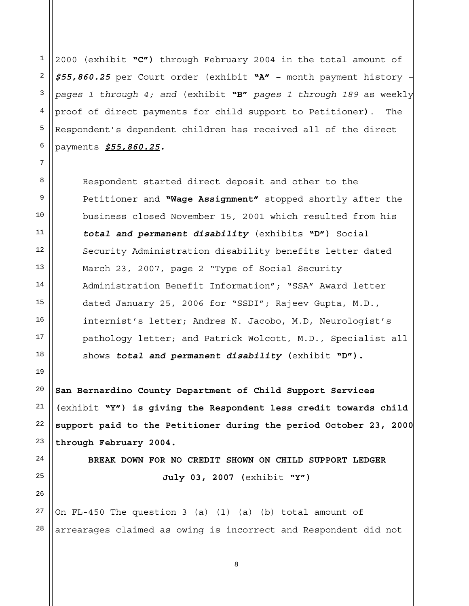1 2 3 5 6 2000 (exhibit **"C")** through February 2004 in the total amount of *\$55,860.25* per Court order (exhibit **"A" –** month payment history *– pages 1 through 4; and* (exhibit **"B"** *pages 1 through 189* as weekly proof of direct payments for child support to Petitioner**)**. The Respondent's dependent children has received all of the direct payments *\$55,860.25.*

Respondent started direct deposit and other to the Petitioner and **"Wage Assignment"** stopped shortly after the business closed November 15, 2001 which resulted from his *total and permanent disability* (exhibits **"D")** Social Security Administration disability benefits letter dated March 23, 2007, page 2 "Type of Social Security Administration Benefit Information"; "SSA" Award letter dated January 25, 2006 for "SSDI"; Rajeev Gupta, M.D., internist's letter; Andres N. Jacobo, M.D, Neurologist's pathology letter; and Patrick Wolcott, M.D., Specialist all shows *total and permanent disability* **(**exhibit **"D").** 

**San Bernardino County Department of Child Support Services (**exhibit **"Y") is giving the Respondent less credit towards child support paid to the Petitioner during the period October 23, 2000 through February 2004.** 

> **BREAK DOWN FOR NO CREDIT SHOWN ON CHILD SUPPORT LEDGER July 03, 2007 (**exhibit **"Y")**

> > 8

27 28 On FL-450 The question 3 (a) (1) (a) (b) total amount of arrearages claimed as owing is incorrect and Respondent did not

26

4

7

8

9

10

11

12

13

14

15

16

17

18

19

20

21

22

23

24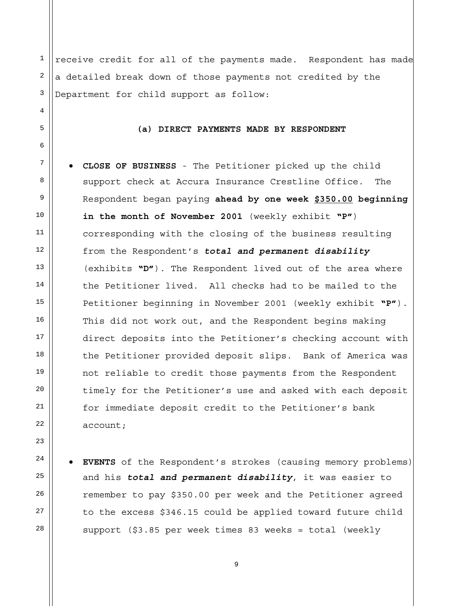1 2 3 4 5 6 8 9 10 11 12 13 14 15 16 17 18 19 20 21 22 23 24 25 receive credit for all of the payments made. Respondent has made a detailed break down of those payments not credited by the Department for child support as follow: **(a) DIRECT PAYMENTS MADE BY RESPONDENT**   $\frac{7}{4}$  **• CLOSE OF BUSINESS** - The Petitioner picked up the child support check at Accura Insurance Crestline Office. The Respondent began paying **ahead by one week \$350.00 beginning in the month of November 2001** (weekly exhibit **"P"**) corresponding with the closing of the business resulting from the Respondent's *total and permanent disability* (exhibits **"D"**). The Respondent lived out of the area where the Petitioner lived. All checks had to be mailed to the Petitioner beginning in November 2001 (weekly exhibit **"P"**). This did not work out, and the Respondent begins making direct deposits into the Petitioner's checking account with the Petitioner provided deposit slips. Bank of America was not reliable to credit those payments from the Respondent timely for the Petitioner's use and asked with each deposit for immediate deposit credit to the Petitioner's bank account; **EVENTS** of the Respondent's strokes (causing memory problems)

and his *total and permanent disability*, it was easier to remember to pay \$350.00 per week and the Petitioner agreed to the excess \$346.15 could be applied toward future child support (\$3.85 per week times 83 weeks = total (weekly

26

27

28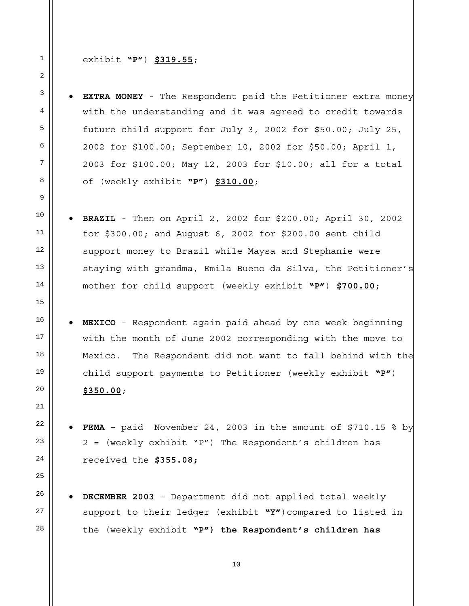1 2

4

5

6

7

8

9

10

11

12

13

14

15

16

17

18

19

20

21

22

23

24

25

26

27

28

## exhibit **"P"**) **\$319.55**;

 $3 \parallel \bullet$  **EXTRA MONEY** - The Respondent paid the Petitioner extra money with the understanding and it was agreed to credit towards future child support for July 3, 2002 for \$50.00; July 25, 2002 for \$100.00; September 10, 2002 for \$50.00; April 1, 2003 for \$100.00; May 12, 2003 for \$10.00; all for a total of (weekly exhibit **"P"**) **\$310.00**;

- **BRAZIL** Then on April 2, 2002 for \$200.00; April 30, 2002 for \$300.00; and August 6, 2002 for \$200.00 sent child support money to Brazil while Maysa and Stephanie were staying with grandma, Emila Bueno da Silva, the Petitioner's mother for child support (weekly exhibit **"P"**) **\$700.00**;
- **MEXICO** Respondent again paid ahead by one week beginning with the month of June 2002 corresponding with the move to Mexico. The Respondent did not want to fall behind with the child support payments to Petitioner (weekly exhibit **"P"**) **\$350.00**;
- **FEMA**  paid November 24, 2003 in the amount of \$710.15 % by 2 = (weekly exhibit "P") The Respondent's children has received the **\$355.08;**
- **DECEMBER 2003** Department did not applied total weekly support to their ledger (exhibit **"Y"**)compared to listed in the (weekly exhibit **"P") the Respondent's children has**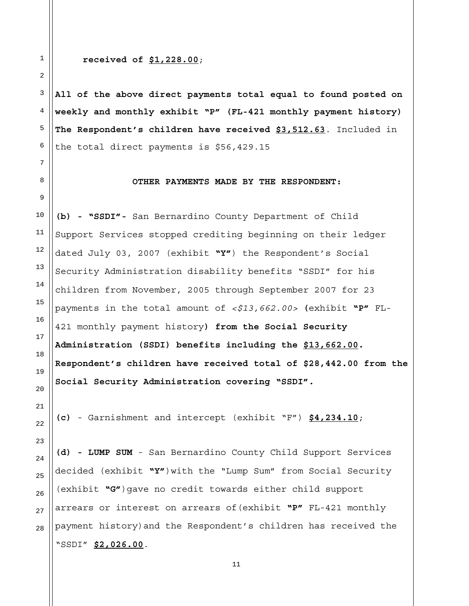## **received of \$1,228.00**;

**All of the above direct payments total equal to found posted on weekly and monthly exhibit "P" (FL-421 monthly payment history) The Respondent's children have received \$3,512.63**. Included in the total direct payments is \$56,429.15

# **OTHER PAYMENTS MADE BY THE RESPONDENT:**

**(b) - "SSDI"-** San Bernardino County Department of Child Support Services stopped crediting beginning on their ledger dated July 03, 2007 (exhibit **"Y"**) the Respondent's Social Security Administration disability benefits "SSDI" for his children from November, 2005 through September 2007 for 23 payments in the total amount of *<\$13,662.00>* **(**exhibit **"P"** FL-421 monthly payment history**) from the Social Security Administration (SSDI) benefits including the \$13,662.00. Respondent's children have received total of \$28,442.00 from the Social Security Administration covering "SSDI".** 

**(c)** - Garnishment and intercept (exhibit "F") **\$4,234.10**;

**(d) - LUMP SUM** - San Bernardino County Child Support Services decided (exhibit **"Y"**)with the "Lump Sum" from Social Security (exhibit **"G"**)gave no credit towards either child support arrears or interest on arrears of(exhibit **"P"** FL-421 monthly payment history)and the Respondent's children has received the "SSDI" **\$2,026.00**.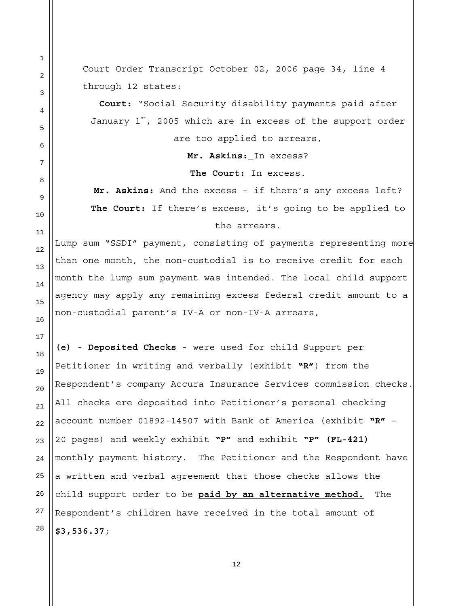Court Order Transcript October 02, 2006 page 34, line 4 through 12 states:

**Court:** "Social Security disability payments paid after January  $1<sup>st</sup>$ , 2005 which are in excess of the support order are too applied to arrears,

**Mr. Askins:** In excess?

**The Court:** In excess.

**Mr. Askins:** And the excess – if there's any excess left? **The Court:** If there's excess, it's going to be applied to the arrears.

Lump sum "SSDI" payment, consisting of payments representing more than one month, the non-custodial is to receive credit for each month the lump sum payment was intended. The local child support agency may apply any remaining excess federal credit amount to a non-custodial parent's IV-A or non-IV-A arrears,

**(e) - Deposited Checks** - were used for child Support per Petitioner in writing and verbally (exhibit **"R"**) from the Respondent's company Accura Insurance Services commission checks. All checks ere deposited into Petitioner's personal checking account number 01892-14507 with Bank of America (exhibit **"R"** – 20 pages) and weekly exhibit **"P"** and exhibit **"P" (FL-421)** monthly payment history. The Petitioner and the Respondent have a written and verbal agreement that those checks allows the child support order to be **paid by an alternative method.** The Respondent's children have received in the total amount of **\$3,536.37**;

28

1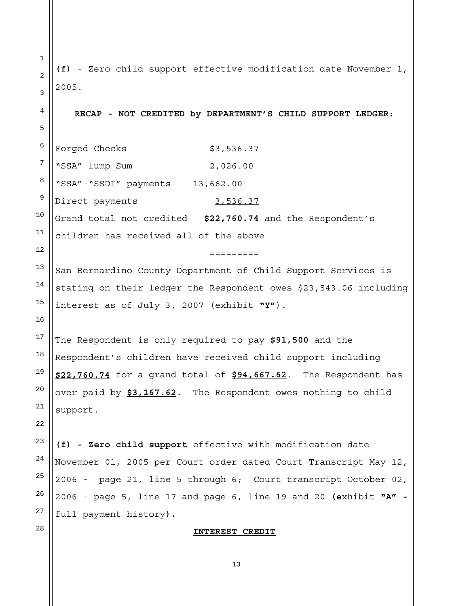1 2 3 4 5 6 7 8 9 10 11 12 13 14 15 16 17 18 19 20 21 22 23 24 25 26 27 28 **(f)** - Zero child support effective modification date November 1, 2005. **RECAP - NOT CREDITED by DEPARTMENT'S CHILD SUPPORT LEDGER:**  Forged Checks \$3,536.37 "SSA" lump Sum 2,026.00 "SSA"-"SSDI" payments 13,662.00 Direct payments 3,536.37 Grand total not credited **\$22,760.74** and the Respondent's children has received all of the above ========= San Bernardino County Department of Child Support Services is stating on their ledger the Respondent owes \$23,543.06 including interest as of July 3, 2007 (exhibit **"Y"**). The Respondent is only required to pay **\$91,500** and the Respondent's children have received child support including **\$22,760.74** for a grand total of **\$94,667.62**. The Respondent has over paid by **\$3,167.62**. The Respondent owes nothing to child support. **(f) - Zero child support** effective with modification date November 01, 2005 per Court order dated Court Transcript May 12, 2006 - page 21, line 5 through 6; Court transcript October 02, 2006 - page 5, line 17 and page 6, line 19 and 20 **(e**xhibit **"A"**  full payment history**).** 

# **INTEREST CREDIT**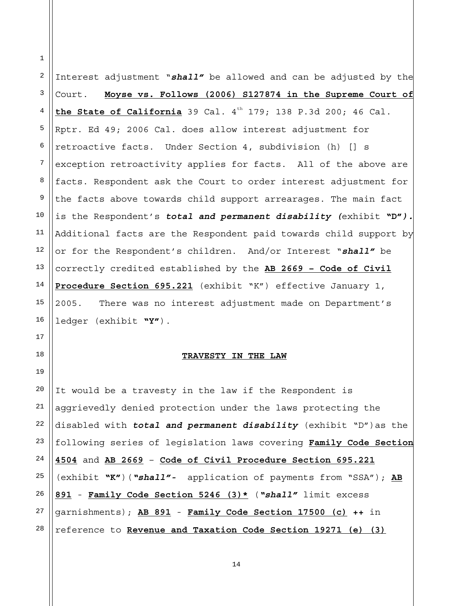2 3 4 5 6 7 8 9 10 11 12 13 14 15 16 Interest adjustment "*shall"* be allowed and can be adjusted by the Court. **Moyse vs. Follows (2006) S127874 in the Supreme Court of the State of California** 39 Cal.  $4^{th}$  179; 138 P.3d 200; 46 Cal. Rptr. Ed 49; 2006 Cal. does allow interest adjustment for retroactive facts. Under Section 4, subdivision (h) [] s exception retroactivity applies for facts. All of the above are facts. Respondent ask the Court to order interest adjustment for the facts above towards child support arrearages. The main fact is the Respondent's *total and permanent disability (*exhibit **"D"***).* Additional facts are the Respondent paid towards child support by or for the Respondent's children. And/or Interest "*shall"* be correctly credited established by the **AB 2669 – Code of Civil Procedure Section 695.221** (exhibit "K") effective January 1, 2005. There was no interest adjustment made on Department's ledger (exhibit **"Y"**).

#### **TRAVESTY IN THE LAW**

20 21 22 23 24 25 26 27 28 It would be a travesty in the law if the Respondent is aggrievedly denied protection under the laws protecting the disabled with *total and permanent disability* (exhibit "D")as the following series of legislation laws covering **Family Code Section 4504** and **AB 2669** – **Code of Civil Procedure Section 695.221** (exhibit **"K"**)(*"shall"-* application of payments from "SSA"); **AB 891** - **Family Code Section 5246 (3)\*** (*"shall"* limit excess garnishments); **AB 891** - **Family Code Section 17500 (c) ++** in reference to **Revenue and Taxation Code Section 19271 (e) (3)**

1

17

18

19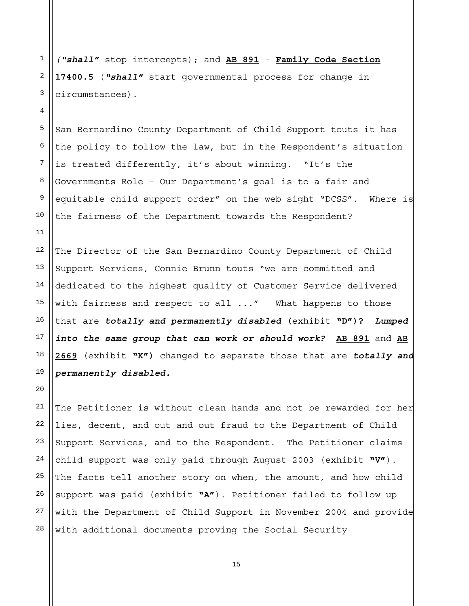*("shall"* stop intercepts); and **AB 891** - **Family Code Section 17400.5** (*"shall"* start governmental process for change in circumstances).

1

2

3

4

5

6

7

8

9

10

11

 $20^{\circ}$ 

San Bernardino County Department of Child Support touts it has the policy to follow the law, but in the Respondent's situation is treated differently, it's about winning. "It's the Governments Role – Our Department's goal is to a fair and equitable child support order" on the web sight "DCSS". Where is the fairness of the Department towards the Respondent?

12 13 14 15 16 17 18 19 The Director of the San Bernardino County Department of Child Support Services, Connie Brunn touts "we are committed and dedicated to the highest quality of Customer Service delivered with fairness and respect to all ..." What happens to those that are *totally and permanently disabled* **(**exhibit **"D")?** *Lumped into the same group that can work or should work?* **AB 891** and **AB 2669** (exhibit **"K")** changed to separate those that are *totally and permanently disabled.* 

21 22 23 24 25 26 27 28 The Petitioner is without clean hands and not be rewarded for her lies, decent, and out and out fraud to the Department of Child Support Services, and to the Respondent. The Petitioner claims child support was only paid through August 2003 (exhibit **"V"**). The facts tell another story on when, the amount, and how child support was paid (exhibit **"A"**). Petitioner failed to follow up with the Department of Child Support in November 2004 and provide with additional documents proving the Social Security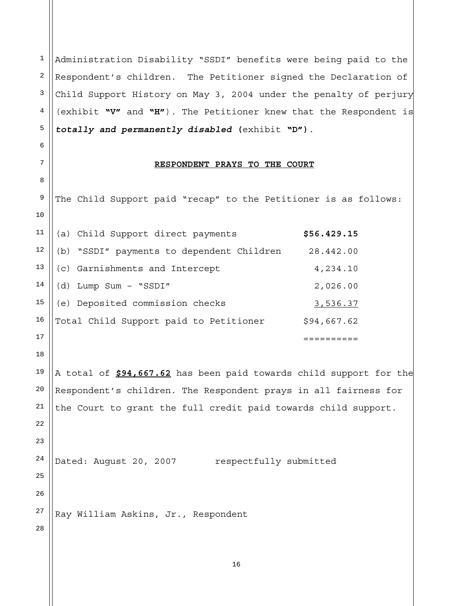Administration Disability "SSDI" benefits were being paid to the Respondent's children. The Petitioner signed the Declaration of Child Support History on May 3, 2004 under the penalty of perjury (exhibit **"V"** and **"H"**). The Petitioner knew that the Respondent is *totally and permanently disabled* **(**exhibit **"D")**.

## **RESPONDENT PRAYS TO THE COURT**

 The Child Support paid "recap" to the Petitioner is as follows: (a) Child Support direct payments **\$56.429.15**  (b) "SSDI" payments to dependent Children 28.442.00 (c) Garnishments and Intercept 4,234.10 (d) Lump Sum – "SSDI" 2,026.00 (e) Deposited commission checks 3,536.37 Total Child Support paid to Petitioner \$94,667.62 ========== A total of **\$94,667.62** has been paid towards child support for the Respondent's children. The Respondent prays in all fairness for the Court to grant the full credit paid towards child support. Dated: August 20, 2007 respectfully submitted Ray William Askins, Jr., Respondent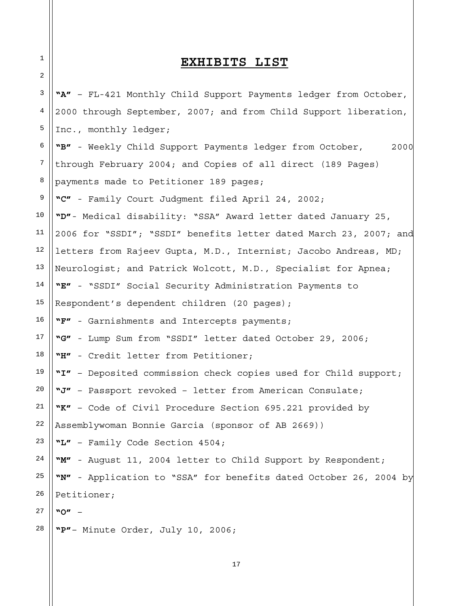# **EXHIBITS LIST**

1

2

3 4 5 6 7 8 9 10 11 12 13 14 15 16 17 18 19 20 21 22 23 24 25 26 27 28 **"A"** – FL-421 Monthly Child Support Payments ledger from October, 2000 through September, 2007; and from Child Support liberation, Inc., monthly ledger; **"B"** - Weekly Child Support Payments ledger from October, 2000 through February 2004; and Copies of all direct (189 Pages) payments made to Petitioner 189 pages; **"C"** - Family Court Judgment filed April 24, 2002; **"D"**- Medical disability: "SSA" Award letter dated January 25, 2006 for "SSDI"; "SSDI" benefits letter dated March 23, 2007; and letters from Rajeev Gupta, M.D., Internist; Jacobo Andreas, MD; Neurologist; and Patrick Wolcott, M.D., Specialist for Apnea; **"E"** - "SSDI" Social Security Administration Payments to Respondent's dependent children (20 pages); **"F"** - Garnishments and Intercepts payments; **"G"** - Lump Sum from "SSDI" letter dated October 29, 2006; **"H"** - Credit letter from Petitioner; **"I"** – Deposited commission check copies used for Child support; **"J"** – Passport revoked – letter from American Consulate; **"K"** – Code of Civil Procedure Section 695.221 provided by Assemblywoman Bonnie Garcia (sponsor of AB 2669)) **"L"** – Family Code Section 4504; **"M"** - August 11, 2004 letter to Child Support by Respondent; **"N"** - Application to "SSA" for benefits dated October 26, 2004 by Petitioner; **"O"** – **"P"**– Minute Order, July 10, 2006;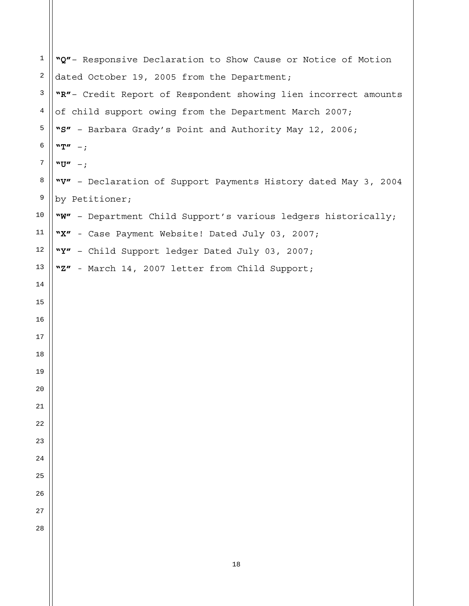| $\mathbf{1}$ | "Q"- Responsive Declaration to Show Cause or Notice of Motion   |
|--------------|-----------------------------------------------------------------|
| 2            | dated October 19, 2005 from the Department;                     |
| 3            | "R"- Credit Report of Respondent showing lien incorrect amounts |
| 4            | of child support owing from the Department March 2007;          |
| 5            | "S" - Barbara Grady's Point and Authority May 12, 2006;         |
| 6            | ${}^{\mathbf{w}}\mathbf{T}^{\prime\prime}$ - ;                  |
| 7            | $"U" -;$                                                        |
| 8            | "V" - Declaration of Support Payments History dated May 3, 2004 |
| 9            | by Petitioner;                                                  |
| 10           | "W" - Department Child Support's various ledgers historically;  |
| 11           | "X" - Case Payment Website! Dated July 03, 2007;                |
| 12           | "Y" - Child Support ledger Dated July 03, 2007;                 |
| 13           | "Z" - March 14, 2007 letter from Child Support;                 |
| 14           |                                                                 |
| 15           |                                                                 |
| 16           |                                                                 |
| 17           |                                                                 |
| 18           |                                                                 |
| 19           |                                                                 |
| 20           |                                                                 |
| 21           |                                                                 |
| 22           |                                                                 |
| 23           |                                                                 |
| 24           |                                                                 |
| 25           |                                                                 |
| 26           |                                                                 |
| 27           |                                                                 |
| 28           |                                                                 |
|              |                                                                 |
|              | 18                                                              |